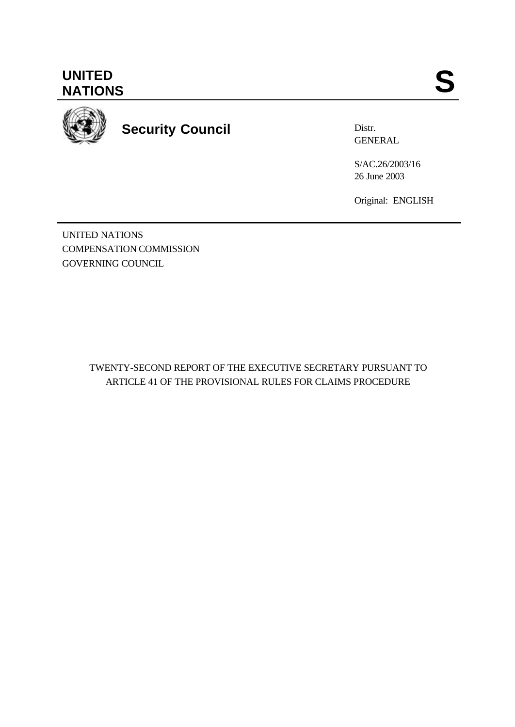

**Security Council**

Distr. GENERAL

S/AC.26/2003/16 26 June 2003

Original: ENGLISH

UNITED NATIONS COMPENSATION COMMISSION GOVERNING COUNCIL

> TWENTY-SECOND REPORT OF THE EXECUTIVE SECRETARY PURSUANT TO ARTICLE 41 OF THE PROVISIONAL RULES FOR CLAIMS PROCEDURE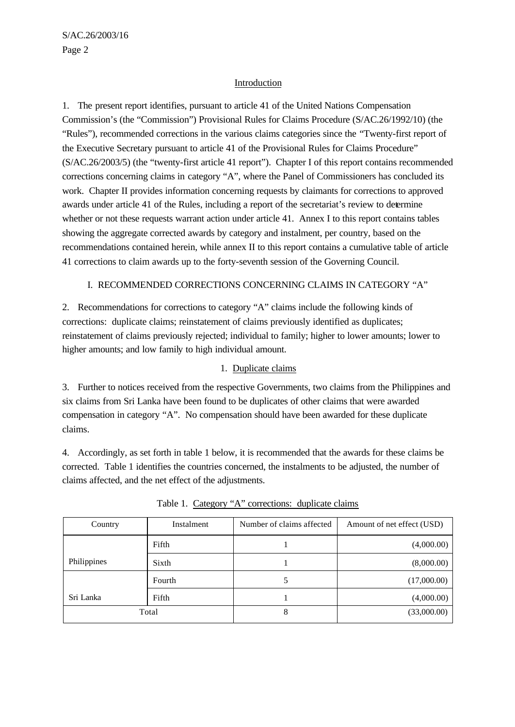# Introduction

1. The present report identifies, pursuant to article 41 of the United Nations Compensation Commission's (the "Commission") Provisional Rules for Claims Procedure (S/AC.26/1992/10) (the "Rules"), recommended corrections in the various claims categories since the "Twenty-first report of the Executive Secretary pursuant to article 41 of the Provisional Rules for Claims Procedure" (S/AC.26/2003/5) (the "twenty-first article 41 report"). Chapter I of this report contains recommended corrections concerning claims in category "A", where the Panel of Commissioners has concluded its work. Chapter II provides information concerning requests by claimants for corrections to approved awards under article 41 of the Rules, including a report of the secretariat's review to determine whether or not these requests warrant action under article 41. Annex I to this report contains tables showing the aggregate corrected awards by category and instalment, per country, based on the recommendations contained herein, while annex II to this report contains a cumulative table of article 41 corrections to claim awards up to the forty-seventh session of the Governing Council.

# I. RECOMMENDED CORRECTIONS CONCERNING CLAIMS IN CATEGORY "A"

2. Recommendations for corrections to category "A" claims include the following kinds of corrections: duplicate claims; reinstatement of claims previously identified as duplicates; reinstatement of claims previously rejected; individual to family; higher to lower amounts; lower to higher amounts; and low family to high individual amount.

# 1. Duplicate claims

3. Further to notices received from the respective Governments, two claims from the Philippines and six claims from Sri Lanka have been found to be duplicates of other claims that were awarded compensation in category "A". No compensation should have been awarded for these duplicate claims.

4. Accordingly, as set forth in table 1 below, it is recommended that the awards for these claims be corrected. Table 1 identifies the countries concerned, the instalments to be adjusted, the number of claims affected, and the net effect of the adjustments.

| Country     | Instalment | Number of claims affected | Amount of net effect (USD) |
|-------------|------------|---------------------------|----------------------------|
|             | Fifth      |                           | (4,000.00)                 |
| Philippines | Sixth      |                           | (8,000.00)                 |
|             | Fourth     | 5                         | (17,000.00)                |
| Sri Lanka   | Fifth      |                           | (4,000.00)                 |
|             | Total      | 8                         | (33,000.00)                |

Table 1. Category "A" corrections: duplicate claims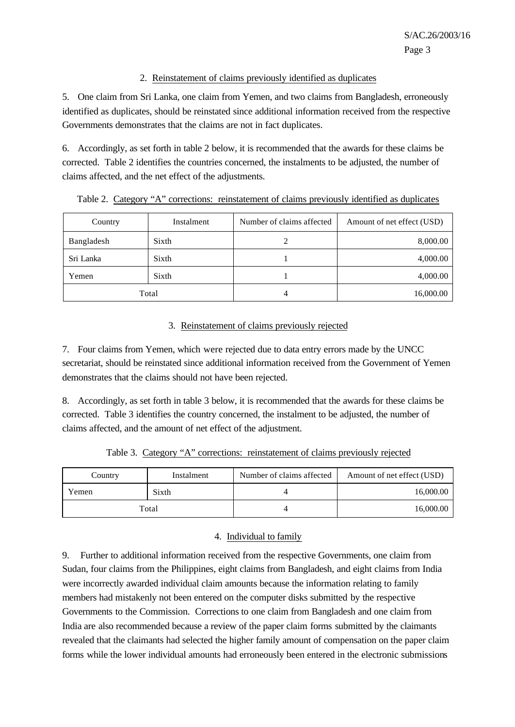# 2. Reinstatement of claims previously identified as duplicates

5. One claim from Sri Lanka, one claim from Yemen, and two claims from Bangladesh, erroneously identified as duplicates, should be reinstated since additional information received from the respective Governments demonstrates that the claims are not in fact duplicates.

6. Accordingly, as set forth in table 2 below, it is recommended that the awards for these claims be corrected. Table 2 identifies the countries concerned, the instalments to be adjusted, the number of claims affected, and the net effect of the adjustments.

| Country    | Instalment | Number of claims affected | Amount of net effect (USD) |
|------------|------------|---------------------------|----------------------------|
| Bangladesh | Sixth      |                           | 8,000.00                   |
| Sri Lanka  | Sixth      |                           | 4,000.00                   |
| Yemen      | Sixth      |                           | 4,000.00                   |
| Total      |            | 4                         | 16,000.00                  |

Table 2. Category "A" corrections: reinstatement of claims previously identified as duplicates

# 3. Reinstatement of claims previously rejected

7. Four claims from Yemen, which were rejected due to data entry errors made by the UNCC secretariat, should be reinstated since additional information received from the Government of Yemen demonstrates that the claims should not have been rejected.

8. Accordingly, as set forth in table 3 below, it is recommended that the awards for these claims be corrected. Table 3 identifies the country concerned, the instalment to be adjusted, the number of claims affected, and the amount of net effect of the adjustment.

|  |  |  |  |  | Table 3. Category "A" corrections: reinstatement of claims previously rejected |  |  |  |  |  |
|--|--|--|--|--|--------------------------------------------------------------------------------|--|--|--|--|--|
|--|--|--|--|--|--------------------------------------------------------------------------------|--|--|--|--|--|

| Country | Instalment | Number of claims affected | Amount of net effect (USD) |
|---------|------------|---------------------------|----------------------------|
| Yemen   | Sixth      |                           | 16,000.00                  |
|         | Total      |                           | 16,000.00                  |

# 4. Individual to family

9. Further to additional information received from the respective Governments, one claim from Sudan, four claims from the Philippines, eight claims from Bangladesh, and eight claims from India were incorrectly awarded individual claim amounts because the information relating to family members had mistakenly not been entered on the computer disks submitted by the respective Governments to the Commission. Corrections to one claim from Bangladesh and one claim from India are also recommended because a review of the paper claim forms submitted by the claimants revealed that the claimants had selected the higher family amount of compensation on the paper claim forms while the lower individual amounts had erroneously been entered in the electronic submissions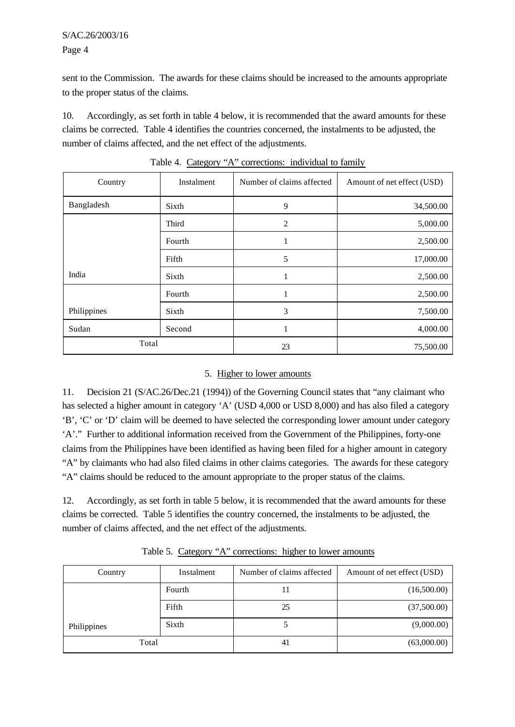# S/AC.26/2003/16 Page 4

sent to the Commission. The awards for these claims should be increased to the amounts appropriate to the proper status of the claims.

10. Accordingly, as set forth in table 4 below, it is recommended that the award amounts for these claims be corrected. Table 4 identifies the countries concerned, the instalments to be adjusted, the number of claims affected, and the net effect of the adjustments.

| Country     | Instalment | Number of claims affected | Amount of net effect (USD) |
|-------------|------------|---------------------------|----------------------------|
| Bangladesh  | Sixth      | 9                         | 34,500.00                  |
|             | Third      | $\overline{2}$            | 5,000.00                   |
|             | Fourth     |                           | 2,500.00                   |
|             | Fifth      | 5                         | 17,000.00                  |
| India       | Sixth      |                           | 2,500.00                   |
|             | Fourth     |                           | 2,500.00                   |
| Philippines | Sixth      | 3                         | 7,500.00                   |
| Sudan       | Second     |                           | 4,000.00                   |
| Total       |            | 23                        | 75,500.00                  |

Table 4. Category "A" corrections: individual to family

# 5. Higher to lower amounts

11. Decision 21 (S/AC.26/Dec.21 (1994)) of the Governing Council states that "any claimant who has selected a higher amount in category 'A' (USD 4,000 or USD 8,000) and has also filed a category 'B', 'C' or 'D' claim will be deemed to have selected the corresponding lower amount under category 'A'." Further to additional information received from the Government of the Philippines, forty-one claims from the Philippines have been identified as having been filed for a higher amount in category "A" by claimants who had also filed claims in other claims categories. The awards for these category "A" claims should be reduced to the amount appropriate to the proper status of the claims.

12. Accordingly, as set forth in table 5 below, it is recommended that the award amounts for these claims be corrected. Table 5 identifies the country concerned, the instalments to be adjusted, the number of claims affected, and the net effect of the adjustments.

| Country     | Instalment | Number of claims affected | Amount of net effect (USD) |
|-------------|------------|---------------------------|----------------------------|
|             | Fourth     |                           | (16,500.00)                |
|             | Fifth      | 25                        | (37,500.00)                |
| Philippines | Sixth      |                           | (9,000.00)                 |
| Total       |            | 41                        | (63,000.00)                |

Table 5. Category "A" corrections: higher to lower amounts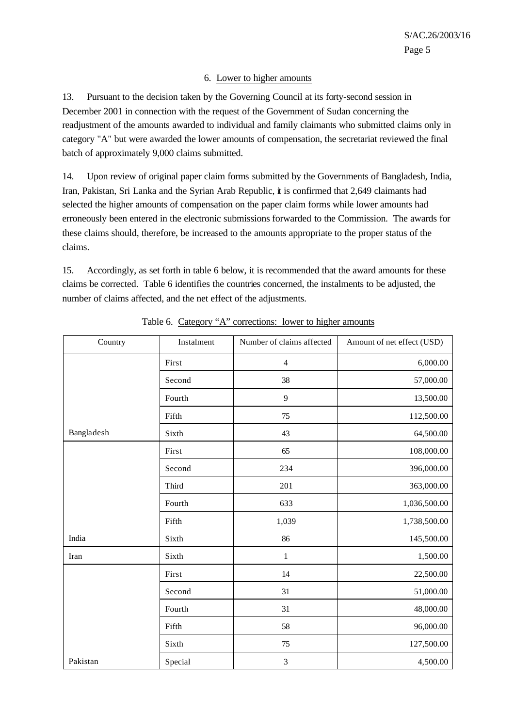# 6. Lower to higher amounts

13. Pursuant to the decision taken by the Governing Council at its forty-second session in December 2001 in connection with the request of the Government of Sudan concerning the readjustment of the amounts awarded to individual and family claimants who submitted claims only in category "A" but were awarded the lower amounts of compensation, the secretariat reviewed the final batch of approximately 9,000 claims submitted.

14. Upon review of original paper claim forms submitted by the Governments of Bangladesh, India, Iran, Pakistan, Sri Lanka and the Syrian Arab Republic, it is confirmed that 2,649 claimants had selected the higher amounts of compensation on the paper claim forms while lower amounts had erroneously been entered in the electronic submissions forwarded to the Commission. The awards for these claims should, therefore, be increased to the amounts appropriate to the proper status of the claims.

15. Accordingly, as set forth in table 6 below, it is recommended that the award amounts for these claims be corrected. Table 6 identifies the countries concerned, the instalments to be adjusted, the number of claims affected, and the net effect of the adjustments.

| Country    | Instalment | Number of claims affected | Amount of net effect (USD) |
|------------|------------|---------------------------|----------------------------|
|            | First      | $\overline{4}$            | 6,000.00                   |
|            | Second     | 38                        | 57,000.00                  |
|            | Fourth     | 9                         | 13,500.00                  |
|            | Fifth      | 75                        | 112,500.00                 |
| Bangladesh | Sixth      | 43                        | 64,500.00                  |
|            | First      | 65                        | 108,000.00                 |
|            | Second     | 234                       | 396,000.00                 |
|            | Third      | 201                       | 363,000.00                 |
|            | Fourth     | 633                       | 1,036,500.00               |
|            | Fifth      | 1,039                     | 1,738,500.00               |
| India      | Sixth      | 86                        | 145,500.00                 |
| Iran       | Sixth      | $\,1\,$                   | 1,500.00                   |
|            | First      | 14                        | 22,500.00                  |
|            | Second     | 31                        | 51,000.00                  |
|            | Fourth     | 31                        | 48,000.00                  |
|            | Fifth      | 58                        | 96,000.00                  |
|            | Sixth      | 75                        | 127,500.00                 |
| Pakistan   | Special    | $\mathfrak{Z}$            | 4,500.00                   |

Table 6. Category "A" corrections: lower to higher amounts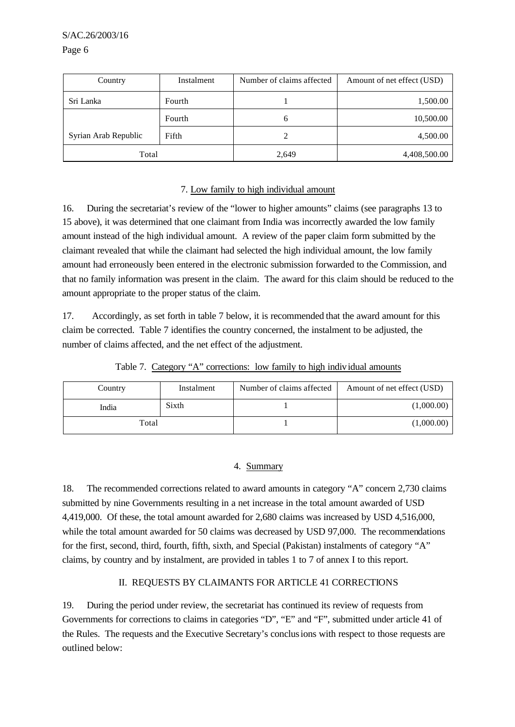| Country              | Instalment | Number of claims affected | Amount of net effect (USD) |
|----------------------|------------|---------------------------|----------------------------|
| Sri Lanka            | Fourth     |                           | 1,500.00                   |
|                      | Fourth     | 6                         | 10,500.00                  |
| Syrian Arab Republic | Fifth      |                           | 4,500.00                   |
| Total                |            | 2,649                     | 4,408,500.00               |

#### 7. Low family to high individual amount

16. During the secretariat's review of the "lower to higher amounts" claims (see paragraphs 13 to 15 above), it was determined that one claimant from India was incorrectly awarded the low family amount instead of the high individual amount. A review of the paper claim form submitted by the claimant revealed that while the claimant had selected the high individual amount, the low family amount had erroneously been entered in the electronic submission forwarded to the Commission, and that no family information was present in the claim. The award for this claim should be reduced to the amount appropriate to the proper status of the claim.

17. Accordingly, as set forth in table 7 below, it is recommended that the award amount for this claim be corrected. Table 7 identifies the country concerned, the instalment to be adjusted, the number of claims affected, and the net effect of the adjustment.

| Country | Instalment | Number of claims affected | Amount of net effect (USD) |
|---------|------------|---------------------------|----------------------------|
| India   | Sixth      |                           | (1,000.00)                 |
| Total   |            |                           | (1,000.00)                 |

Table 7. Category "A" corrections: low family to high individual amounts

# 4. Summary

18. The recommended corrections related to award amounts in category "A" concern 2,730 claims submitted by nine Governments resulting in a net increase in the total amount awarded of USD 4,419,000. Of these, the total amount awarded for 2,680 claims was increased by USD 4,516,000, while the total amount awarded for 50 claims was decreased by USD 97,000. The recommendations for the first, second, third, fourth, fifth, sixth, and Special (Pakistan) instalments of category "A" claims, by country and by instalment, are provided in tables 1 to 7 of annex I to this report.

# II. REQUESTS BY CLAIMANTS FOR ARTICLE 41 CORRECTIONS

19. During the period under review, the secretariat has continued its review of requests from Governments for corrections to claims in categories "D", "E" and "F", submitted under article 41 of the Rules. The requests and the Executive Secretary's conclusions with respect to those requests are outlined below: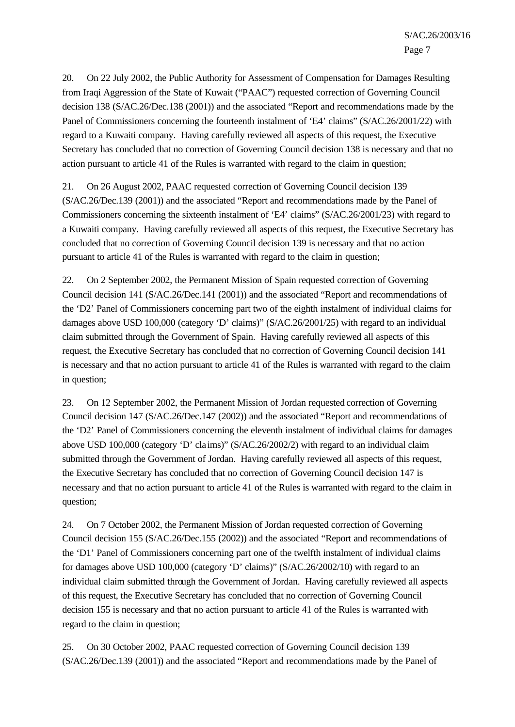20. On 22 July 2002, the Public Authority for Assessment of Compensation for Damages Resulting from Iraqi Aggression of the State of Kuwait ("PAAC") requested correction of Governing Council decision 138 (S/AC.26/Dec.138 (2001)) and the associated "Report and recommendations made by the Panel of Commissioners concerning the fourteenth instalment of 'E4' claims'' (S/AC.26/2001/22) with regard to a Kuwaiti company. Having carefully reviewed all aspects of this request, the Executive Secretary has concluded that no correction of Governing Council decision 138 is necessary and that no action pursuant to article 41 of the Rules is warranted with regard to the claim in question;

21. On 26 August 2002, PAAC requested correction of Governing Council decision 139 (S/AC.26/Dec.139 (2001)) and the associated "Report and recommendations made by the Panel of Commissioners concerning the sixteenth instalment of 'E4' claims" (S/AC.26/2001/23) with regard to a Kuwaiti company. Having carefully reviewed all aspects of this request, the Executive Secretary has concluded that no correction of Governing Council decision 139 is necessary and that no action pursuant to article 41 of the Rules is warranted with regard to the claim in question;

22. On 2 September 2002, the Permanent Mission of Spain requested correction of Governing Council decision 141 (S/AC.26/Dec.141 (2001)) and the associated "Report and recommendations of the 'D2' Panel of Commissioners concerning part two of the eighth instalment of individual claims for damages above USD 100,000 (category 'D' claims)" (S/AC.26/2001/25) with regard to an individual claim submitted through the Government of Spain. Having carefully reviewed all aspects of this request, the Executive Secretary has concluded that no correction of Governing Council decision 141 is necessary and that no action pursuant to article 41 of the Rules is warranted with regard to the claim in question;

23. On 12 September 2002, the Permanent Mission of Jordan requested correction of Governing Council decision 147 (S/AC.26/Dec.147 (2002)) and the associated "Report and recommendations of the 'D2' Panel of Commissioners concerning the eleventh instalment of individual claims for damages above USD 100,000 (category 'D' cla ims)" (S/AC.26/2002/2) with regard to an individual claim submitted through the Government of Jordan. Having carefully reviewed all aspects of this request, the Executive Secretary has concluded that no correction of Governing Council decision 147 is necessary and that no action pursuant to article 41 of the Rules is warranted with regard to the claim in question;

24. On 7 October 2002, the Permanent Mission of Jordan requested correction of Governing Council decision 155 (S/AC.26/Dec.155 (2002)) and the associated "Report and recommendations of the 'D1' Panel of Commissioners concerning part one of the twelfth instalment of individual claims for damages above USD 100,000 (category 'D' claims)" (S/AC.26/2002/10) with regard to an individual claim submitted through the Government of Jordan. Having carefully reviewed all aspects of this request, the Executive Secretary has concluded that no correction of Governing Council decision 155 is necessary and that no action pursuant to article 41 of the Rules is warranted with regard to the claim in question;

25. On 30 October 2002, PAAC requested correction of Governing Council decision 139 (S/AC.26/Dec.139 (2001)) and the associated "Report and recommendations made by the Panel of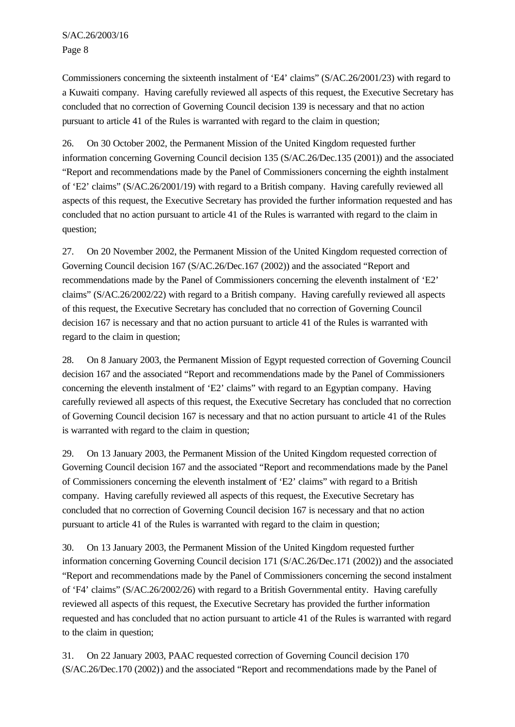Commissioners concerning the sixteenth instalment of 'E4' claims" (S/AC.26/2001/23) with regard to a Kuwaiti company. Having carefully reviewed all aspects of this request, the Executive Secretary has concluded that no correction of Governing Council decision 139 is necessary and that no action pursuant to article 41 of the Rules is warranted with regard to the claim in question;

26. On 30 October 2002, the Permanent Mission of the United Kingdom requested further information concerning Governing Council decision 135 (S/AC.26/Dec.135 (2001)) and the associated "Report and recommendations made by the Panel of Commissioners concerning the eighth instalment of 'E2' claims" (S/AC.26/2001/19) with regard to a British company. Having carefully reviewed all aspects of this request, the Executive Secretary has provided the further information requested and has concluded that no action pursuant to article 41 of the Rules is warranted with regard to the claim in question;

27. On 20 November 2002, the Permanent Mission of the United Kingdom requested correction of Governing Council decision 167 (S/AC.26/Dec.167 (2002)) and the associated "Report and recommendations made by the Panel of Commissioners concerning the eleventh instalment of 'E2' claims" (S/AC.26/2002/22) with regard to a British company. Having carefully reviewed all aspects of this request, the Executive Secretary has concluded that no correction of Governing Council decision 167 is necessary and that no action pursuant to article 41 of the Rules is warranted with regard to the claim in question;

28. On 8 January 2003, the Permanent Mission of Egypt requested correction of Governing Council decision 167 and the associated "Report and recommendations made by the Panel of Commissioners concerning the eleventh instalment of 'E2' claims" with regard to an Egyptian company. Having carefully reviewed all aspects of this request, the Executive Secretary has concluded that no correction of Governing Council decision 167 is necessary and that no action pursuant to article 41 of the Rules is warranted with regard to the claim in question;

29. On 13 January 2003, the Permanent Mission of the United Kingdom requested correction of Governing Council decision 167 and the associated "Report and recommendations made by the Panel of Commissioners concerning the eleventh instalment of 'E2' claims" with regard to a British company. Having carefully reviewed all aspects of this request, the Executive Secretary has concluded that no correction of Governing Council decision 167 is necessary and that no action pursuant to article 41 of the Rules is warranted with regard to the claim in question;

30. On 13 January 2003, the Permanent Mission of the United Kingdom requested further information concerning Governing Council decision 171 (S/AC.26/Dec.171 (2002)) and the associated "Report and recommendations made by the Panel of Commissioners concerning the second instalment of 'F4' claims" (S/AC.26/2002/26) with regard to a British Governmental entity. Having carefully reviewed all aspects of this request, the Executive Secretary has provided the further information requested and has concluded that no action pursuant to article 41 of the Rules is warranted with regard to the claim in question;

31. On 22 January 2003, PAAC requested correction of Governing Council decision 170 (S/AC.26/Dec.170 (2002)) and the associated "Report and recommendations made by the Panel of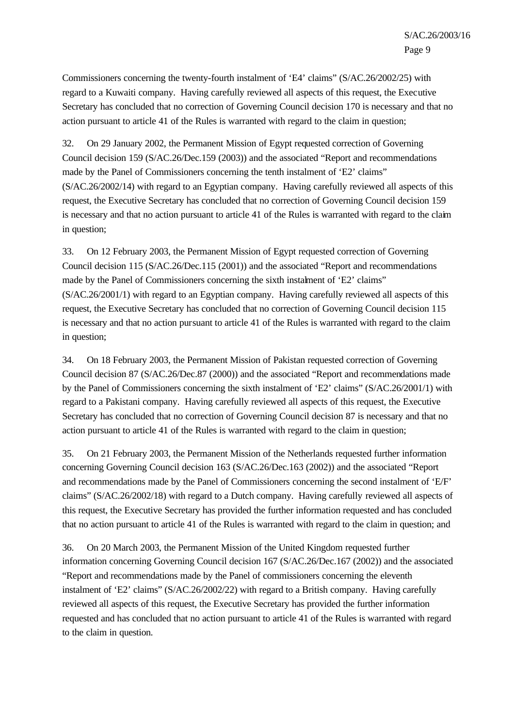Commissioners concerning the twenty-fourth instalment of 'E4' claims" (S/AC.26/2002/25) with regard to a Kuwaiti company. Having carefully reviewed all aspects of this request, the Executive Secretary has concluded that no correction of Governing Council decision 170 is necessary and that no action pursuant to article 41 of the Rules is warranted with regard to the claim in question;

32. On 29 January 2002, the Permanent Mission of Egypt requested correction of Governing Council decision 159 (S/AC.26/Dec.159 (2003)) and the associated "Report and recommendations made by the Panel of Commissioners concerning the tenth instalment of 'E2' claims" (S/AC.26/2002/14) with regard to an Egyptian company. Having carefully reviewed all aspects of this request, the Executive Secretary has concluded that no correction of Governing Council decision 159 is necessary and that no action pursuant to article 41 of the Rules is warranted with regard to the claim in question;

33. On 12 February 2003, the Permanent Mission of Egypt requested correction of Governing Council decision 115 (S/AC.26/Dec.115 (2001)) and the associated "Report and recommendations made by the Panel of Commissioners concerning the sixth instalment of 'E2' claims" (S/AC.26/2001/1) with regard to an Egyptian company. Having carefully reviewed all aspects of this request, the Executive Secretary has concluded that no correction of Governing Council decision 115 is necessary and that no action pursuant to article 41 of the Rules is warranted with regard to the claim in question;

34. On 18 February 2003, the Permanent Mission of Pakistan requested correction of Governing Council decision 87 (S/AC.26/Dec.87 (2000)) and the associated "Report and recommendations made by the Panel of Commissioners concerning the sixth instalment of 'E2' claims" (S/AC.26/2001/1) with regard to a Pakistani company. Having carefully reviewed all aspects of this request, the Executive Secretary has concluded that no correction of Governing Council decision 87 is necessary and that no action pursuant to article 41 of the Rules is warranted with regard to the claim in question;

35. On 21 February 2003, the Permanent Mission of the Netherlands requested further information concerning Governing Council decision 163 (S/AC.26/Dec.163 (2002)) and the associated "Report and recommendations made by the Panel of Commissioners concerning the second instalment of 'E/F' claims" (S/AC.26/2002/18) with regard to a Dutch company. Having carefully reviewed all aspects of this request, the Executive Secretary has provided the further information requested and has concluded that no action pursuant to article 41 of the Rules is warranted with regard to the claim in question; and

36. On 20 March 2003, the Permanent Mission of the United Kingdom requested further information concerning Governing Council decision 167 (S/AC.26/Dec.167 (2002)) and the associated "Report and recommendations made by the Panel of commissioners concerning the eleventh instalment of 'E2' claims" (S/AC.26/2002/22) with regard to a British company. Having carefully reviewed all aspects of this request, the Executive Secretary has provided the further information requested and has concluded that no action pursuant to article 41 of the Rules is warranted with regard to the claim in question.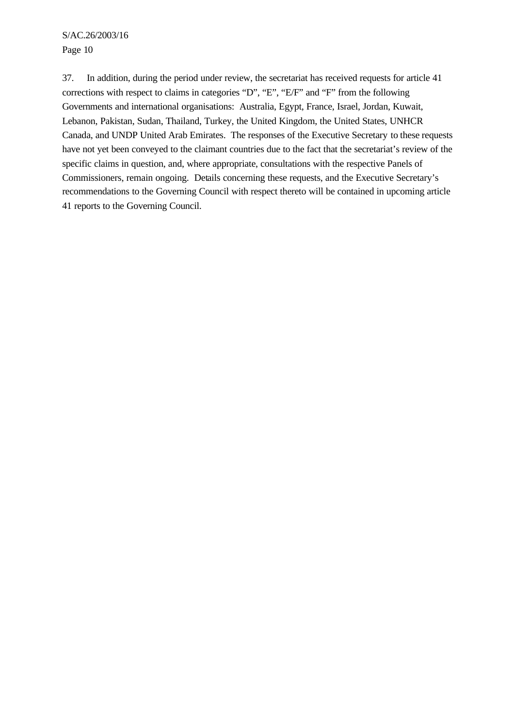37. In addition, during the period under review, the secretariat has received requests for article 41 corrections with respect to claims in categories "D", "E", "E/F" and "F" from the following Governments and international organisations: Australia, Egypt, France, Israel, Jordan, Kuwait, Lebanon, Pakistan, Sudan, Thailand, Turkey, the United Kingdom, the United States, UNHCR Canada, and UNDP United Arab Emirates. The responses of the Executive Secretary to these requests have not yet been conveyed to the claimant countries due to the fact that the secretariat's review of the specific claims in question, and, where appropriate, consultations with the respective Panels of Commissioners, remain ongoing. Details concerning these requests, and the Executive Secretary's recommendations to the Governing Council with respect thereto will be contained in upcoming article 41 reports to the Governing Council.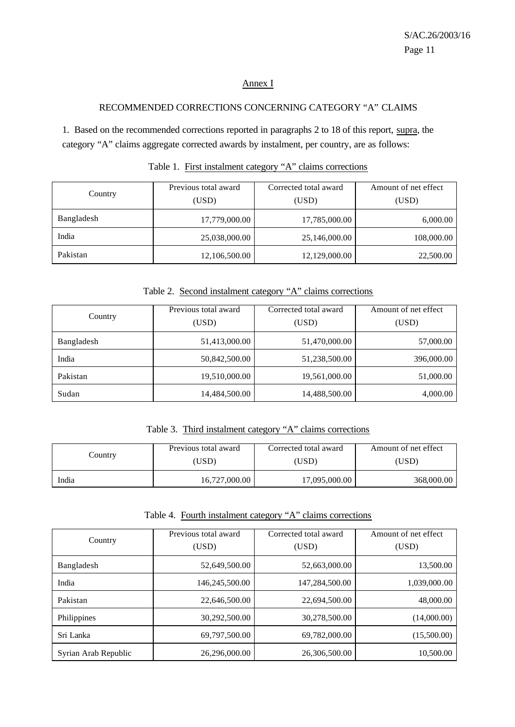# Annex I

#### RECOMMENDED CORRECTIONS CONCERNING CATEGORY "A" CLAIMS

1. Based on the recommended corrections reported in paragraphs 2 to 18 of this report, supra, the category "A" claims aggregate corrected awards by instalment, per country, are as follows:

| Country    | Previous total award<br>(USD) | Corrected total award<br>(USD) | Amount of net effect<br>(USD) |
|------------|-------------------------------|--------------------------------|-------------------------------|
| Bangladesh | 17,779,000.00                 | 17,785,000.00                  | 6,000.00                      |
| India      | 25,038,000.00                 | 25,146,000.00                  | 108,000.00                    |
| Pakistan   | 12,106,500.00                 | 12,129,000.00                  | 22,500.00                     |

# Table 1. First instalment category "A" claims corrections

Table 2. Second instalment category "A" claims corrections

|            | Previous total award | Corrected total award | Amount of net effect |
|------------|----------------------|-----------------------|----------------------|
| Country    | (USD)                | (USD)                 | (USD)                |
| Bangladesh | 51,413,000.00        | 51,470,000.00         | 57,000.00            |
| India      | 50,842,500.00        | 51,238,500.00         | 396,000.00           |
| Pakistan   | 19,510,000.00        | 19,561,000.00         | 51,000.00            |
| Sudan      | 14,484,500.00        | 14,488,500.00         | 4,000.00             |

Table 3. Third instalment category "A" claims corrections

|         | Previous total award | Corrected total award | Amount of net effect |
|---------|----------------------|-----------------------|----------------------|
| Country | (USD)                | (USD)                 | (USD)                |
| India   | 16,727,000.00        | 17,095,000.00         | 368,000.00           |

Table 4. Fourth instalment category "A" claims corrections

| Country              | Previous total award<br>(USD) | Corrected total award<br>(USD) | Amount of net effect<br>(USD) |  |  |
|----------------------|-------------------------------|--------------------------------|-------------------------------|--|--|
| Bangladesh           | 52,649,500.00                 | 52,663,000.00                  | 13,500.00                     |  |  |
| India                | 146,245,500.00                | 147,284,500.00                 | 1,039,000.00                  |  |  |
| Pakistan             | 22,646,500.00                 | 22,694,500.00                  | 48,000.00                     |  |  |
| Philippines          | 30,292,500.00                 | 30,278,500.00                  | (14,000.00)                   |  |  |
| Sri Lanka            | 69,797,500.00                 | 69,782,000.00                  | (15,500.00)                   |  |  |
| Syrian Arab Republic | 26,296,000.00                 | 26,306,500.00                  | 10,500.00                     |  |  |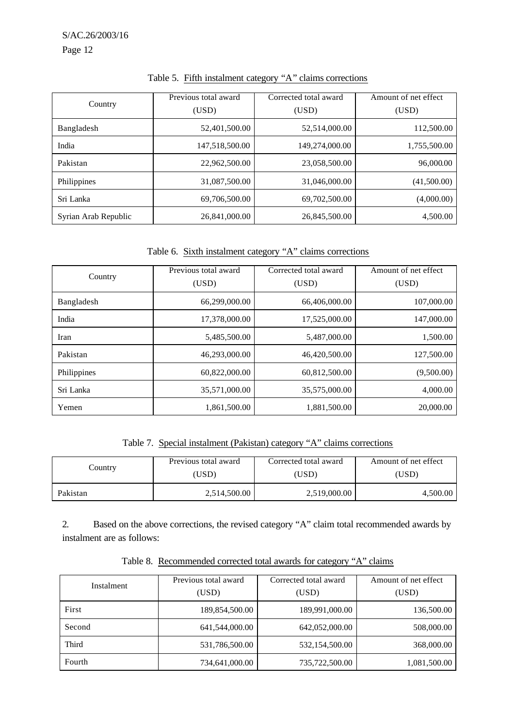| Country              | Previous total award<br>(USD) | Corrected total award<br>(USD) | Amount of net effect<br>(USD) |  |  |
|----------------------|-------------------------------|--------------------------------|-------------------------------|--|--|
| Bangladesh           | 52,401,500.00                 | 52,514,000.00                  | 112,500.00                    |  |  |
| India                | 147,518,500.00                | 149,274,000.00                 | 1,755,500.00                  |  |  |
| Pakistan             | 22,962,500.00                 | 23,058,500.00                  | 96,000.00                     |  |  |
| Philippines          | 31,087,500.00                 | 31,046,000.00                  | (41,500.00)                   |  |  |
| Sri Lanka            | 69.706.500.00                 | 69,702,500.00                  | (4,000.00)                    |  |  |
| Syrian Arab Republic | 26,841,000.00                 | 26,845,500.00                  | 4,500.00                      |  |  |

Table 5. Fifth instalment category "A" claims corrections

Table 6. Sixth instalment category "A" claims corrections

|             | Previous total award | Corrected total award | Amount of net effect |  |  |
|-------------|----------------------|-----------------------|----------------------|--|--|
| Country     | (USD)                | (USD)                 | (USD)                |  |  |
| Bangladesh  | 66,299,000.00        | 66,406,000.00         | 107,000.00           |  |  |
| India       | 17.378.000.00        | 17,525,000.00         | 147,000.00           |  |  |
| Iran        | 5,485,500.00         | 5,487,000.00          | 1,500.00             |  |  |
| Pakistan    | 46,293,000.00        | 46,420,500.00         | 127,500.00           |  |  |
| Philippines | 60,822,000.00        | 60,812,500.00         | (9,500.00)           |  |  |
| Sri Lanka   | 35,571,000.00        | 35,575,000.00         | 4,000.00             |  |  |
| Yemen       | 1,861,500.00         | 1,881,500.00          | 20,000.00            |  |  |

Table 7. Special instalment (Pakistan) category "A" claims corrections

| Country  | Previous total award | Corrected total award | Amount of net effect |  |  |
|----------|----------------------|-----------------------|----------------------|--|--|
|          | (USD)                | (USD)                 | (USD)                |  |  |
| Pakistan | 2,514,500.00         | 2,519,000.00          | 4,500.00             |  |  |

2. Based on the above corrections, the revised category "A" claim total recommended awards by instalment are as follows:

Table 8. Recommended corrected total awards for category "A" claims

| Instalment | Previous total award<br>(USD) | Corrected total award<br>(USD) | Amount of net effect<br>(USD) |  |  |
|------------|-------------------------------|--------------------------------|-------------------------------|--|--|
| First      | 189,854,500.00                | 189,991,000.00                 | 136,500.00                    |  |  |
| Second     | 641,544,000.00                | 642,052,000.00                 | 508,000.00                    |  |  |
| Third      | 531,786,500.00                | 532,154,500.00                 | 368,000.00                    |  |  |
| Fourth     | 734,641,000.00                | 735,722,500.00                 | 1,081,500.00                  |  |  |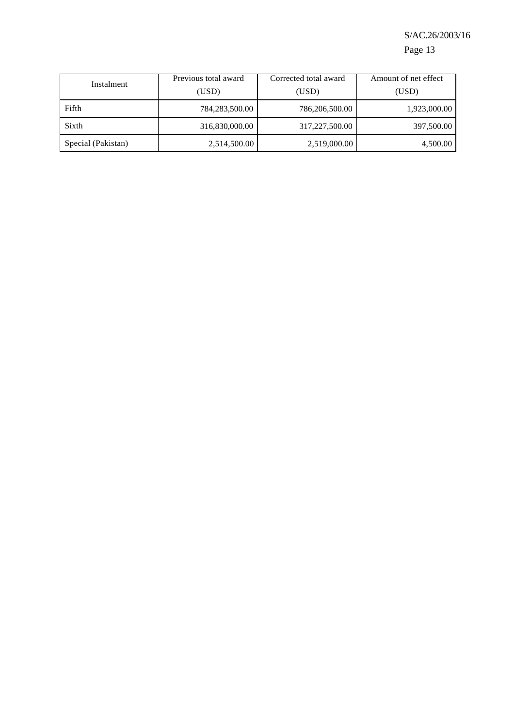# S/AC.26/2003/16

Page 13

| Instalment         | Previous total award | Corrected total award | Amount of net effect |  |  |
|--------------------|----------------------|-----------------------|----------------------|--|--|
|                    | (USD)                | (USD)                 | (USD)                |  |  |
| Fifth              | 784,283,500.00       | 786,206,500.00        | 1,923,000.00         |  |  |
| Sixth              | 316,830,000.00       | 317,227,500.00        | 397,500.00           |  |  |
| Special (Pakistan) | 2,514,500.00         | 2,519,000.00          | 4,500.00             |  |  |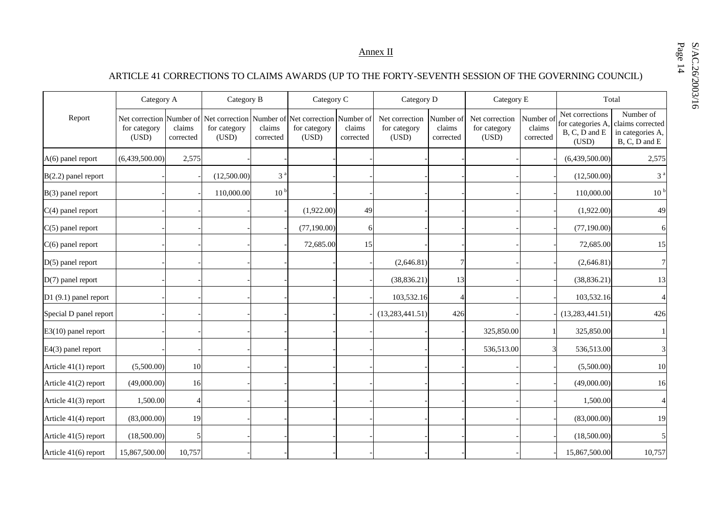Annex II

# ARTICLE 41 CORRECTIONS TO CLAIMS AWARDS (UP TO THE FORTY-SEVENTH SESSION OF THE GOVERNING COUNCIL)

|                        | Category A            |                     | Category B                                                                                |                     | Category C            |                                  | Category D                              |                                  | Category E                              |                                  |                                                                | Total                                                              |
|------------------------|-----------------------|---------------------|-------------------------------------------------------------------------------------------|---------------------|-----------------------|----------------------------------|-----------------------------------------|----------------------------------|-----------------------------------------|----------------------------------|----------------------------------------------------------------|--------------------------------------------------------------------|
| Report                 | for category<br>(USD) | claims<br>corrected | Net correction Number of Net correction Number of Net correction<br>for category<br>(USD) | claims<br>corrected | for category<br>(USD) | Number of<br>claims<br>corrected | Net correction<br>for category<br>(USD) | Number of<br>claims<br>corrected | Net correction<br>for category<br>(USD) | Number of<br>claims<br>corrected | Net corrections<br>for categories A,<br>B, C, D and E<br>(USD) | Number of<br>claims corrected<br>in categories A,<br>B, C, D and E |
| $A(6)$ panel report    | (6,439,500.00)        | 2,575               |                                                                                           |                     |                       |                                  |                                         |                                  |                                         |                                  | (6,439,500.00)                                                 | 2,575                                                              |
| $B(2.2)$ panel report  |                       |                     | (12,500.00)                                                                               | 3 <sup>a</sup>      |                       |                                  |                                         |                                  |                                         |                                  | (12,500.00)                                                    | 3 <sup>a</sup>                                                     |
| $B(3)$ panel report    |                       |                     | 110,000.00                                                                                | 10 <sup>b</sup>     |                       |                                  |                                         |                                  |                                         |                                  | 110,000.00                                                     | 10 <sup>h</sup>                                                    |
| $C(4)$ panel report    |                       |                     |                                                                                           |                     | (1,922.00)            | 49                               |                                         |                                  |                                         |                                  | (1,922.00)                                                     | 49                                                                 |
| $C(5)$ panel report    |                       |                     |                                                                                           |                     | (77, 190.00)          | 6                                |                                         |                                  |                                         |                                  | (77, 190.00)                                                   | 6                                                                  |
| $C(6)$ panel report    |                       |                     |                                                                                           |                     | 72,685.00             | 15                               |                                         |                                  |                                         |                                  | 72,685.00                                                      | 15                                                                 |
| $D(5)$ panel report    |                       |                     |                                                                                           |                     |                       |                                  | (2,646.81)                              | 7                                |                                         |                                  | (2,646.81)                                                     | 7                                                                  |
| $D(7)$ panel report    |                       |                     |                                                                                           |                     |                       |                                  | (38, 836.21)                            | 13                               |                                         |                                  | (38, 836.21)                                                   | 13                                                                 |
| D1 (9.1) panel report  |                       |                     |                                                                                           |                     |                       |                                  | 103,532.16                              |                                  |                                         |                                  | 103,532.16                                                     |                                                                    |
| Special D panel report |                       |                     |                                                                                           |                     |                       |                                  | (13, 283, 441.51)                       | 426                              |                                         |                                  | (13, 283, 441.51)                                              | 426                                                                |
| E3(10) panel report    |                       |                     |                                                                                           |                     |                       |                                  |                                         |                                  | 325,850.00                              |                                  | 325,850.00                                                     |                                                                    |
| E4(3) panel report     |                       |                     |                                                                                           |                     |                       |                                  |                                         |                                  | 536,513.00                              |                                  | 536,513.00                                                     | $\overline{3}$                                                     |
| Article 41(1) report   | (5,500.00)            | 10                  |                                                                                           |                     |                       |                                  |                                         |                                  |                                         |                                  | (5,500.00)                                                     | 10                                                                 |
| Article 41(2) report   | (49,000.00)           | 16                  |                                                                                           |                     |                       |                                  |                                         |                                  |                                         |                                  | (49,000.00)                                                    | 16                                                                 |
| Article $41(3)$ report | 1,500.00              |                     |                                                                                           |                     |                       |                                  |                                         |                                  |                                         |                                  | 1,500.00                                                       |                                                                    |
| Article 41(4) report   | (83,000.00)           | 19                  |                                                                                           |                     |                       |                                  |                                         |                                  |                                         |                                  | (83,000.00)                                                    | 19                                                                 |
| Article 41(5) report   | (18,500.00)           | 5                   |                                                                                           |                     |                       |                                  |                                         |                                  |                                         |                                  | (18,500.00)                                                    | 5                                                                  |
| Article 41(6) report   | 15,867,500.00         | 10,757              |                                                                                           |                     |                       |                                  |                                         |                                  |                                         |                                  | 15,867,500.00                                                  | 10,757                                                             |

Page S/AC.26/2003/16 14